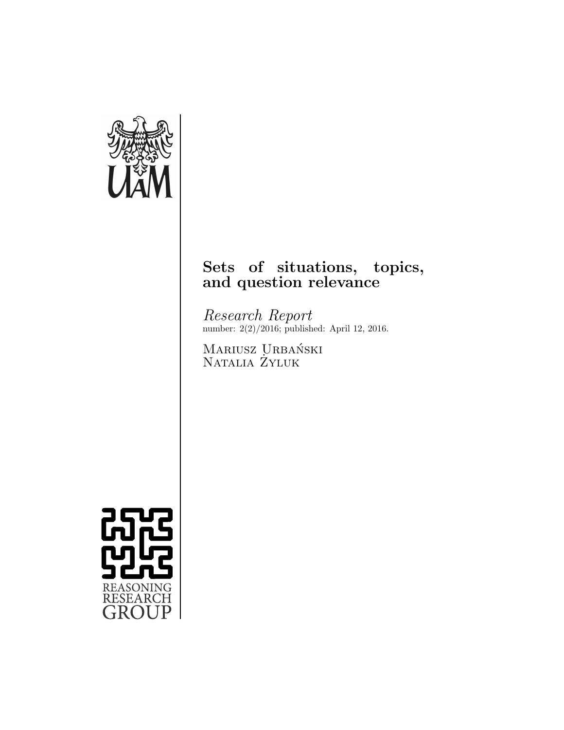

# Sets of situations, topics, and question relevance

Research Report number: 2(2)/2016; published: April 12, 2016.

Mariusz Urbański niariosz ordai<br>Natalia Żyluk

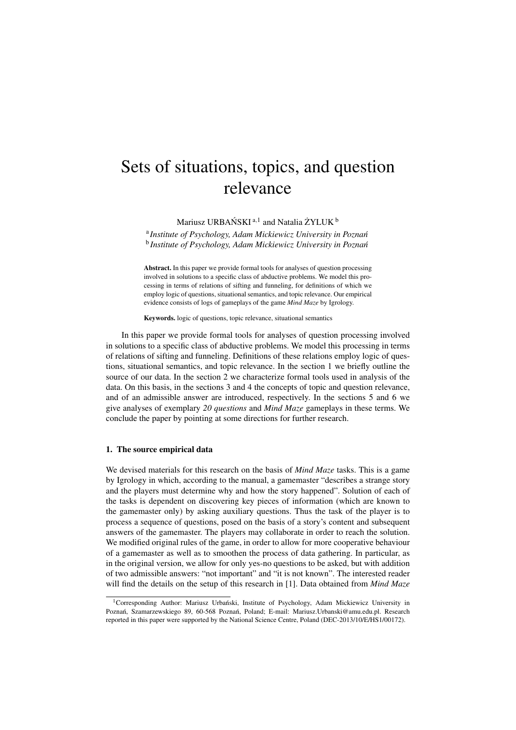# Sets of situations, topics, and question relevance

Mariusz URBAŃSKI<sup>a,1</sup> and Natalia ŻYLUK<sup>b</sup>

<sup>a</sup> Institute of Psychology, Adam Mickiewicz University in Poznań <sup>b</sup> Institute of Psychology, Adam Mickiewicz University in Poznań

Abstract. In this paper we provide formal tools for analyses of question processing involved in solutions to a specific class of abductive problems. We model this processing in terms of relations of sifting and funneling, for definitions of which we employ logic of questions, situational semantics, and topic relevance. Our empirical evidence consists of logs of gameplays of the game *Mind Maze* by Igrology.

Keywords. logic of questions, topic relevance, situational semantics

In this paper we provide formal tools for analyses of question processing involved in solutions to a specific class of abductive problems. We model this processing in terms of relations of sifting and funneling. Definitions of these relations employ logic of questions, situational semantics, and topic relevance. In the section 1 we briefly outline the source of our data. In the section 2 we characterize formal tools used in analysis of the data. On this basis, in the sections 3 and 4 the concepts of topic and question relevance, and of an admissible answer are introduced, respectively. In the sections 5 and 6 we give analyses of exemplary *20 questions* and *Mind Maze* gameplays in these terms. We conclude the paper by pointing at some directions for further research.

#### 1. The source empirical data

We devised materials for this research on the basis of *Mind Maze* tasks. This is a game by Igrology in which, according to the manual, a gamemaster "describes a strange story and the players must determine why and how the story happened". Solution of each of the tasks is dependent on discovering key pieces of information (which are known to the gamemaster only) by asking auxiliary questions. Thus the task of the player is to process a sequence of questions, posed on the basis of a story's content and subsequent answers of the gamemaster. The players may collaborate in order to reach the solution. We modified original rules of the game, in order to allow for more cooperative behaviour of a gamemaster as well as to smoothen the process of data gathering. In particular, as in the original version, we allow for only yes-no questions to be asked, but with addition of two admissible answers: "not important" and "it is not known". The interested reader will find the details on the setup of this research in [1]. Data obtained from *Mind Maze*

<sup>&</sup>lt;sup>1</sup>Corresponding Author: Mariusz Urbański, Institute of Psychology, Adam Mickiewicz University in Poznań, Szamarzewskiego 89, 60-568 Poznań, Poland: E-mail: Mariusz.Urbanski@amu.edu.pl. Research reported in this paper were supported by the National Science Centre, Poland (DEC-2013/10/E/HS1/00172).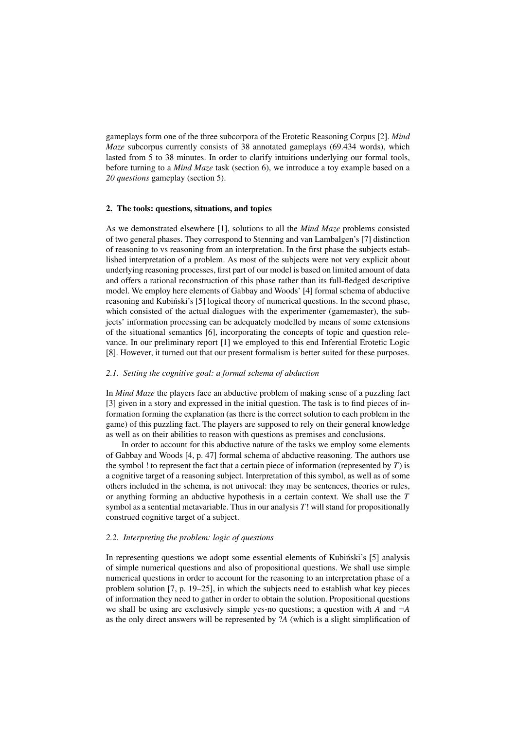gameplays form one of the three subcorpora of the Erotetic Reasoning Corpus [2]. *Mind Maze* subcorpus currently consists of 38 annotated gameplays (69.434 words), which lasted from 5 to 38 minutes. In order to clarify intuitions underlying our formal tools, before turning to a *Mind Maze* task (section 6), we introduce a toy example based on a *20 questions* gameplay (section 5).

#### 2. The tools: questions, situations, and topics

As we demonstrated elsewhere [1], solutions to all the *Mind Maze* problems consisted of two general phases. They correspond to Stenning and van Lambalgen's [7] distinction of reasoning to vs reasoning from an interpretation. In the first phase the subjects established interpretation of a problem. As most of the subjects were not very explicit about underlying reasoning processes, first part of our model is based on limited amount of data and offers a rational reconstruction of this phase rather than its full-fledged descriptive model. We employ here elements of Gabbay and Woods' [4] formal schema of abductive reasoning and Kubinski's [5] logical theory of numerical questions. In the second phase, which consisted of the actual dialogues with the experimenter (gamemaster), the subjects' information processing can be adequately modelled by means of some extensions of the situational semantics [6], incorporating the concepts of topic and question relevance. In our preliminary report [1] we employed to this end Inferential Erotetic Logic [8]. However, it turned out that our present formalism is better suited for these purposes.

#### *2.1. Setting the cognitive goal: a formal schema of abduction*

In *Mind Maze* the players face an abductive problem of making sense of a puzzling fact [3] given in a story and expressed in the initial question. The task is to find pieces of information forming the explanation (as there is the correct solution to each problem in the game) of this puzzling fact. The players are supposed to rely on their general knowledge as well as on their abilities to reason with questions as premises and conclusions.

In order to account for this abductive nature of the tasks we employ some elements of Gabbay and Woods [4, p. 47] formal schema of abductive reasoning. The authors use the symbol ! to represent the fact that a certain piece of information (represented by  $T$ ) is a cognitive target of a reasoning subject. Interpretation of this symbol, as well as of some others included in the schema, is not univocal: they may be sentences, theories or rules, or anything forming an abductive hypothesis in a certain context. We shall use the *T* symbol as a sentential metavariable. Thus in our analysis *T*! will stand for propositionally construed cognitive target of a subject.

## *2.2. Interpreting the problem: logic of questions*

In representing questions we adopt some essential elements of Kubinski's [5] analysis of simple numerical questions and also of propositional questions. We shall use simple numerical questions in order to account for the reasoning to an interpretation phase of a problem solution [7, p. 19–25], in which the subjects need to establish what key pieces of information they need to gather in order to obtain the solution. Propositional questions we shall be using are exclusively simple yes-no questions; a question with  $A$  and  $\neg A$ as the only direct answers will be represented by ?*A* (which is a slight simplification of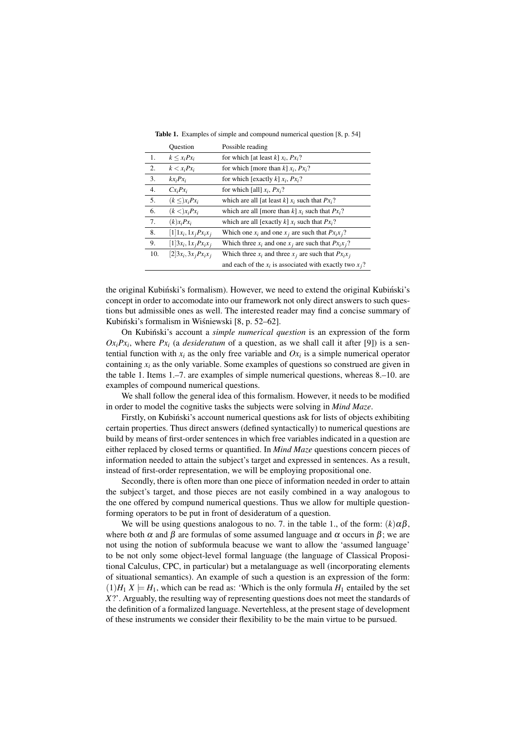|     | Ouestion                | Possible reading                                             |
|-----|-------------------------|--------------------------------------------------------------|
| 1.  | $k \leq x_iPx_i$        | for which [at least $k$ ] $x_i$ , $Px_i$ ?                   |
| 2.  | $k < x_iPx_i$           | for which [more than $k$ ] $x_i$ , $Px_i$ ?                  |
| 3.  | $kx_iPx_i$              | for which [exactly k] $x_i$ , $Px_i$ ?                       |
| 4.  | $Cx_iPx_i$              | for which [all] $x_i$ , $Px_i$ ?                             |
| 5.  | $(k <) x_i P x_i$       | which are all [at least k] $x_i$ such that $Px_i$ ?          |
| 6.  | $(k <) x_i P x_i$       | which are all [more than k] $x_i$ such that $Px_i$ ?         |
| 7.  | $(k)x_iPx_i$            | which are all [exactly k] $x_i$ such that $Px_i$ ?           |
| 8.  | $[1] 1x_i, 1x_iPx_ix_i$ | Which one $x_i$ and one $x_j$ are such that $Px_ix_j$ ?      |
| 9.  | $[1]3x_i, 1x_iPx_ix_i$  | Which three $x_i$ and one $x_j$ are such that $Px_ix_j$ ?    |
| 10. | $[2]3x_i, 3x_iPx_ix_i$  | Which three $x_i$ and three $x_i$ are such that $Px_ix_i$    |
|     |                         | and each of the $x_i$ is associated with exactly two $x_i$ ? |

Table 1. Examples of simple and compound numerical question [8, p. 54]

the original Kubiński's formalism). However, we need to extend the original Kubiński's concept in order to accomodate into our framework not only direct answers to such questions but admissible ones as well. The interested reader may find a concise summary of Kubiński's formalism in Wiśniewski [8, p. 52–62].

On Kubiński's account a *simple numerical question* is an expression of the form  $Ox_iPx_i$ , where  $Px_i$  (a *desideratum* of a question, as we shall call it after [9]) is a sentential function with  $x_i$  as the only free variable and  $Ox_i$  is a simple numerical operator containing  $x_i$  as the only variable. Some examples of questions so construed are given in the table 1. Items 1.–7. are examples of simple numerical questions, whereas 8.–10. are examples of compound numerical questions.

We shall follow the general idea of this formalism. However, it needs to be modified in order to model the cognitive tasks the subjects were solving in *Mind Maze*.

Firstly, on Kubiński's account numerical questions ask for lists of objects exhibiting certain properties. Thus direct answers (defined syntactically) to numerical questions are build by means of first-order sentences in which free variables indicated in a question are either replaced by closed terms or quantified. In *Mind Maze* questions concern pieces of information needed to attain the subject's target and expressed in sentences. As a result, instead of first-order representation, we will be employing propositional one.

Secondly, there is often more than one piece of information needed in order to attain the subject's target, and those pieces are not easily combined in a way analogous to the one offered by compund numerical questions. Thus we allow for multiple questionforming operators to be put in front of desideratum of a question.

We will be using questions analogous to no. 7. in the table 1., of the form:  $(k)\alpha\beta$ , where both  $\alpha$  and  $\beta$  are formulas of some assumed language and  $\alpha$  occurs in  $\beta$ ; we are not using the notion of subformula beacuse we want to allow the 'assumed language' to be not only some object-level formal language (the language of Classical Propositional Calculus, CPC, in particular) but a metalanguage as well (incorporating elements of situational semantics). An example of such a question is an expression of the form:  $(1)H_1 X \models H_1$ , which can be read as: 'Which is the only formula  $H_1$  entailed by the set *X*?'. Arguably, the resulting way of representing questions does not meet the standards of the definition of a formalized language. Nevertehless, at the present stage of development of these instruments we consider their flexibility to be the main virtue to be pursued.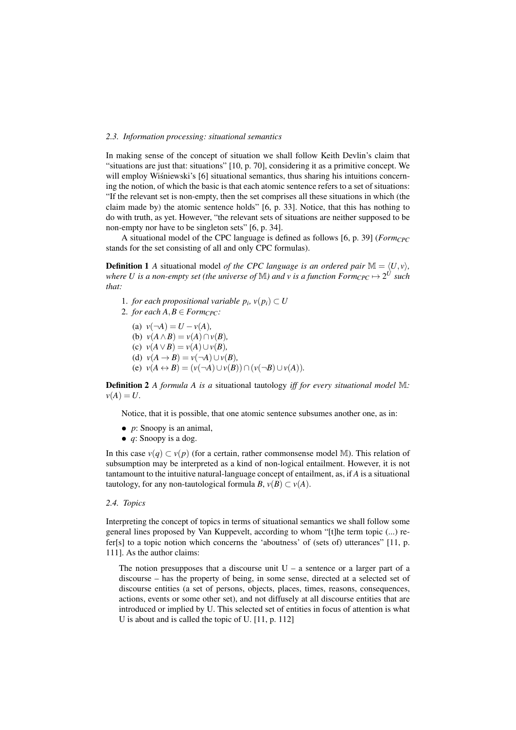## *2.3. Information processing: situational semantics*

In making sense of the concept of situation we shall follow Keith Devlin's claim that "situations are just that: situations" [10, p. 70], considering it as a primitive concept. We will employ Wiśniewski's [6] situational semantics, thus sharing his intuitions concerning the notion, of which the basic is that each atomic sentence refers to a set of situations: "If the relevant set is non-empty, then the set comprises all these situations in which (the claim made by) the atomic sentence holds" [6, p. 33]. Notice, that this has nothing to do with truth, as yet. However, "the relevant sets of situations are neither supposed to be non-empty nor have to be singleton sets" [6, p. 34].

A situational model of the CPC language is defined as follows [6, p. 39] (*FormCPC* stands for the set consisting of all and only CPC formulas).

**Definition 1** *A* situational model *of the CPC language is an ordered pair*  $M = \langle U, v \rangle$ , where U is a non-empty set (the universe of  $\mathbb{M}$ ) and v is a function  $\mathit{Form_{CPC}} \mapsto 2^U$  such *that:*

- 1. *for each propositional variable*  $p_i$ *,*  $v(p_i) \subset U$
- 2. *for each*  $A, B \in Form_{CPC}$ *:*

(a)  $v(\neg A) = U - v(A)$ , (b)  $v(A \wedge B) = v(A) \cap v(B)$ , (c)  $v(A \vee B) = v(A) \cup v(B)$ , (d)  $v(A \rightarrow B) = v(\neg A) \cup v(B)$ , (e)  $v(A \leftrightarrow B) = (v(\neg A) \cup v(B)) \cap (v(\neg B) \cup v(A)).$ 

Definition 2 *A formula A is a* situational tautology *iff for every situational model* M*:*  $v(A) = U$ .

Notice, that it is possible, that one atomic sentence subsumes another one, as in:

- *p*: Snoopy is an animal,
- *q*: Snoopy is a dog.

In this case  $v(q) \subset v(p)$  (for a certain, rather commonsense model M). This relation of subsumption may be interpreted as a kind of non-logical entailment. However, it is not tantamount to the intuitive natural-language concept of entailment, as, if *A* is a situational tautology, for any non-tautological formula *B*,  $v(B) \subset v(A)$ .

#### *2.4. Topics*

Interpreting the concept of topics in terms of situational semantics we shall follow some general lines proposed by Van Kuppevelt, according to whom "[t]he term topic (...) refer[s] to a topic notion which concerns the 'aboutness' of (sets of) utterances" [11, p. 111]. As the author claims:

The notion presupposes that a discourse unit  $U - a$  sentence or a larger part of a discourse – has the property of being, in some sense, directed at a selected set of discourse entities (a set of persons, objects, places, times, reasons, consequences, actions, events or some other set), and not diffusely at all discourse entities that are introduced or implied by U. This selected set of entities in focus of attention is what U is about and is called the topic of U. [11, p. 112]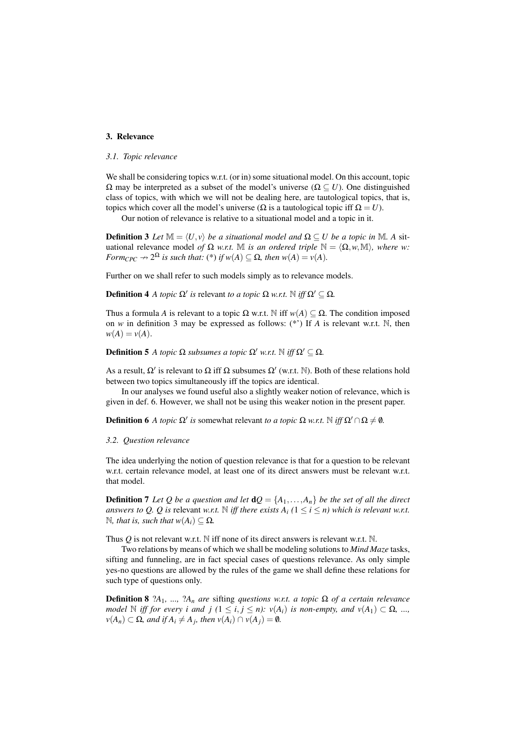# 3. Relevance

#### *3.1. Topic relevance*

We shall be considering topics w.r.t. (or in) some situational model. On this account, topic  $Ω$  may be interpreted as a subset of the model's universe ( $Ω ⊂ U$ ). One distinguished class of topics, with which we will not be dealing here, are tautological topics, that is, topics which cover all the model's universe ( $Ω$  is a tautological topic iff  $Ω = U$ ).

Our notion of relevance is relative to a situational model and a topic in it.

**Definition 3** *Let*  $\mathbb{M} = \langle U, v \rangle$  *be a situational model and*  $\Omega \subseteq U$  *be a topic in*  $\mathbb{M}$ *. A sit*uational relevance model *of*  $\Omega$  *w.r.t.* M *is an ordered triple*  $\mathbb{N} = \langle \Omega, w, \mathbb{M} \rangle$ *, where w: Form<sub>CPC</sub>*  $\rightarrow$  2<sup> $\Omega$ </sup> *is such that:* (\*) *if*  $w(A) \subseteq \Omega$ *, then*  $w(A) = v(A)$ *.* 

Further on we shall refer to such models simply as to relevance models.

**Definition 4** *A topic*  $\Omega'$  *is* relevant *to a topic*  $\Omega$  *w.r.t.* N *iff*  $\Omega' \subseteq \Omega$ *.* 

Thus a formula *A* is relevant to a topic  $\Omega$  w.r.t. N iff  $w(A) \subseteq \Omega$ . The condition imposed on *w* in definition 3 may be expressed as follows:  $(*')$  If *A* is relevant w.r.t. N, then  $w(A) = v(A)$ .

**Definition 5** *A topic*  $\Omega$  *subsumes a topic*  $\Omega'$  *w.r.t.* N *iff*  $\Omega' \subset \Omega$ *.* 

As a result,  $\Omega'$  is relevant to  $\Omega$  iff  $\Omega$  subsumes  $\Omega'$  (w.r.t. N). Both of these relations hold between two topics simultaneously iff the topics are identical.

In our analyses we found useful also a slightly weaker notion of relevance, which is given in def. 6. However, we shall not be using this weaker notion in the present paper.

**Definition 6** *A topic*  $\Omega'$  *is* somewhat relevant *to a topic*  $\Omega$  *w.r.t.* N *iff*  $\Omega' \cap \Omega \neq \emptyset$ .

#### *3.2. Question relevance*

The idea underlying the notion of question relevance is that for a question to be relevant w.r.t. certain relevance model, at least one of its direct answers must be relevant w.r.t. that model.

**Definition 7** Let Q be a question and let  $\mathbf{dQ} = \{A_1, \ldots, A_n\}$  be the set of all the direct *answers to Q. Q is relevant w.r.t.* N *iff there exists*  $A_i$  ( $1 \le i \le n$ ) which is relevant w.r.t.  $N$ *, that is, such that*  $w(A_i) \subseteq \Omega$ *.* 

Thus *Q* is not relevant w.r.t. N iff none of its direct answers is relevant w.r.t. N.

Two relations by means of which we shall be modeling solutions to *Mind Maze* tasks, sifting and funneling, are in fact special cases of questions relevance. As only simple yes-no questions are allowed by the rules of the game we shall define these relations for such type of questions only.

**Definition 8** ?*A*<sub>1</sub>*, ...,* ?*A*<sub>*n*</sub> *are* sifting *questions w.r.t. a topic* Ω *of a certain relevance model*  $\mathbb N$  *iff for every i and j*  $(1 \le i, j \le n)$ *:*  $v(A_i)$  *is non-empty, and*  $v(A_1) \subset \Omega$ *, ...,*  $\nu(A_n) \subset \Omega$ *, and if*  $A_i \neq A_j$ *, then*  $\nu(A_i) \cap \nu(A_j) = \emptyset$ *.*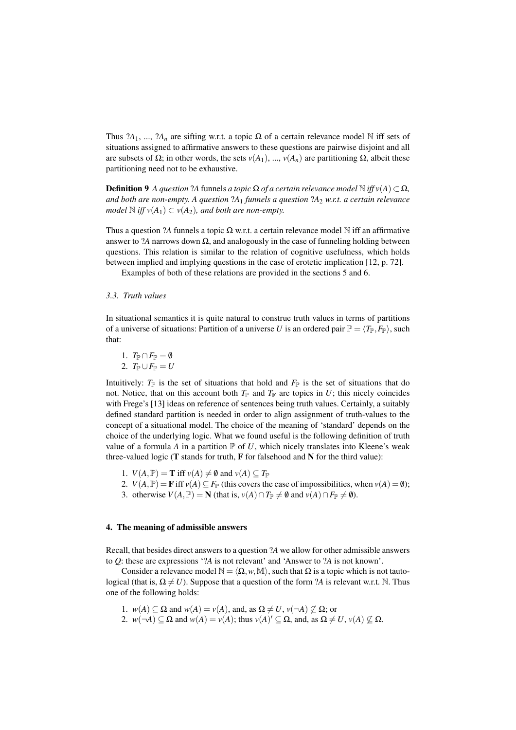Thus  $?A_1$ , ...,  $?A_n$  are sifting w.r.t. a topic  $\Omega$  of a certain relevance model N iff sets of situations assigned to affirmative answers to these questions are pairwise disjoint and all are subsets of  $\Omega$ ; in other words, the sets  $v(A_1)$ , ...,  $v(A_n)$  are partitioning  $\Omega$ , albeit these partitioning need not to be exhaustive.

**Definition 9** *A question* ?*A* funnels *a topic* Ω *of a certain relevance model*  $\mathbb{N}$  *iff*  $v(A) \subset \Omega$ *, and both are non-empty. A question* ?*A*<sup>1</sup> *funnels a question* ?*A*<sup>2</sup> *w.r.t. a certain relevance model*  $\mathbb N$  *iff*  $v(A_1) \subset v(A_2)$ *, and both are non-empty.* 

Thus a question ?*A* funnels a topic  $\Omega$  w.r.t. a certain relevance model N iff an affirmative answer to ?*A* narrows down  $\Omega$ , and analogously in the case of funneling holding between questions. This relation is similar to the relation of cognitive usefulness, which holds between implied and implying questions in the case of erotetic implication [12, p. 72].

Examples of both of these relations are provided in the sections 5 and 6.

#### *3.3. Truth values*

In situational semantics it is quite natural to construe truth values in terms of partitions of a universe of situations: Partition of a universe *U* is an ordered pair  $\mathbb{P} = \langle T_{\mathbb{P}}, F_{\mathbb{P}} \rangle$ , such that:

1. 
$$
T_{\mathbb{P}} \cap F_{\mathbb{P}} = \emptyset
$$

2.  $T_{\mathbb{P}} \cup F_{\mathbb{P}} = U$ 

Intuitively:  $T_{\mathbb{P}}$  is the set of situations that hold and  $F_{\mathbb{P}}$  is the set of situations that do not. Notice, that on this account both  $T_{\mathbb{P}}$  and  $T_{\mathbb{F}}$  are topics in *U*; this nicely coincides with Frege's [13] ideas on reference of sentences being truth values. Certainly, a suitably defined standard partition is needed in order to align assignment of truth-values to the concept of a situational model. The choice of the meaning of 'standard' depends on the choice of the underlying logic. What we found useful is the following definition of truth value of a formula *A* in a partition  $\mathbb P$  of *U*, which nicely translates into Kleene's weak three-valued logic ( $T$  stands for truth,  $F$  for falsehood and  $N$  for the third value):

- 1.  $V(A, \mathbb{P}) = \mathbf{T}$  iff  $v(A) \neq \emptyset$  and  $v(A) \subseteq T_{\mathbb{P}}$
- 2.  $V(A, \mathbb{P}) = \mathbf{F}$  iff  $v(A) \subseteq F_{\mathbb{P}}$  (this covers the case of impossibilities, when  $v(A) = \emptyset$ );
- 3. otherwise  $V(A, \mathbb{P}) = N$  (that is,  $v(A) \cap T_{\mathbb{P}} \neq \emptyset$  and  $v(A) \cap F_{\mathbb{P}} \neq \emptyset$ ).

#### 4. The meaning of admissible answers

Recall, that besides direct answers to a question ?*A* we allow for other admissible answers to *Q*: these are expressions '?*A* is not relevant' and 'Answer to ?*A* is not known'.

Consider a relevance model  $\mathbb{N} = \langle \Omega, w, \mathbb{M} \rangle$ , such that  $\Omega$  is a topic which is not tautological (that is,  $\Omega \neq U$ ). Suppose that a question of the form ?*A* is relevant w.r.t. N. Thus one of the following holds:

- 1.  $w(A) \subseteq \Omega$  and  $w(A) = v(A)$ , and, as  $\Omega \neq U$ ,  $v(\neg A) \nsubseteq \Omega$ ; or
- 2.  $w(\neg A) \subseteq \Omega$  and  $w(A) = v(A)$ ; thus  $v(A)' \subseteq \Omega$ , and, as  $\Omega \neq U$ ,  $v(A) \nsubseteq \Omega$ .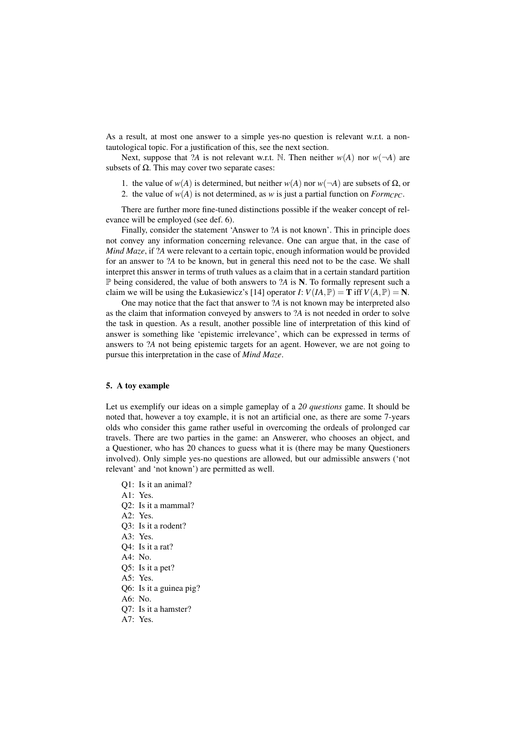As a result, at most one answer to a simple yes-no question is relevant w.r.t. a nontautological topic. For a justification of this, see the next section.

Next, suppose that ?*A* is not relevant w.r.t. N. Then neither  $w(A)$  nor  $w(\neg A)$  are subsets of  $\Omega$ . This may cover two separate cases:

- 1. the value of *w*(*A*) is determined, but neither *w*(*A*) nor *w*(¬*A*) are subsets of Ω, or
- 2. the value of  $w(A)$  is not determined, as *w* is just a partial function on *Form<sub>CPC</sub>*.

There are further more fine-tuned distinctions possible if the weaker concept of relevance will be employed (see def. 6).

Finally, consider the statement 'Answer to ?*A* is not known'. This in principle does not convey any information concerning relevance. One can argue that, in the case of *Mind Maze*, if ?*A* were relevant to a certain topic, enough information would be provided for an answer to ?*A* to be known, but in general this need not to be the case. We shall interpret this answer in terms of truth values as a claim that in a certain standard partition  $\mathbb P$  being considered, the value of both answers to ?*A* is **N**. To formally represent such a claim we will be using the Łukasiewicz's [14] operator *I*:  $V(IA, \mathbb{P}) = \mathbf{T}$  iff  $V(A, \mathbb{P}) = \mathbf{N}$ .

One may notice that the fact that answer to ?*A* is not known may be interpreted also as the claim that information conveyed by answers to ?*A* is not needed in order to solve the task in question. As a result, another possible line of interpretation of this kind of answer is something like 'epistemic irrelevance', which can be expressed in terms of answers to ?*A* not being epistemic targets for an agent. However, we are not going to pursue this interpretation in the case of *Mind Maze*.

#### 5. A toy example

Let us exemplify our ideas on a simple gameplay of a *20 questions* game. It should be noted that, however a toy example, it is not an artificial one, as there are some 7-years olds who consider this game rather useful in overcoming the ordeals of prolonged car travels. There are two parties in the game: an Answerer, who chooses an object, and a Questioner, who has 20 chances to guess what it is (there may be many Questioners involved). Only simple yes-no questions are allowed, but our admissible answers ('not relevant' and 'not known') are permitted as well.

- Q1: Is it an animal?
- A1: Yes.
- Q2: Is it a mammal?
- A2: Yes.
- Q3: Is it a rodent?
- A3: Yes.
- Q4: Is it a rat?
- A4: No.
- Q5: Is it a pet?
- A5: Yes.
- Q6: Is it a guinea pig?
- A6: No.
- Q7: Is it a hamster?
- A7: Yes.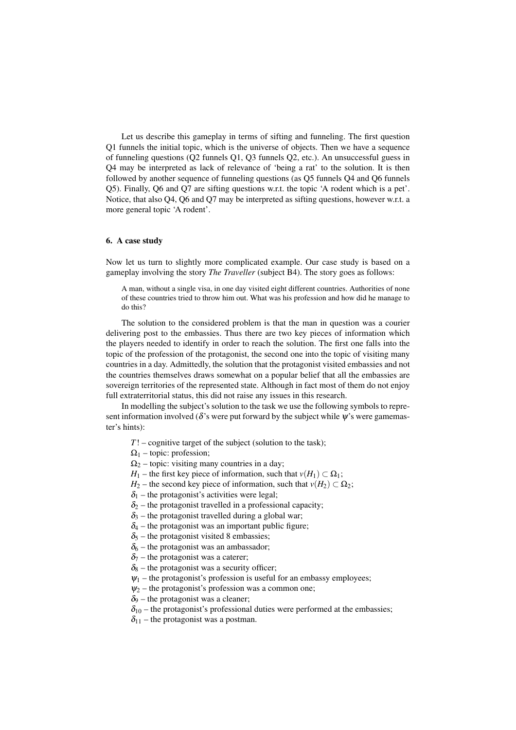Let us describe this gameplay in terms of sifting and funneling. The first question Q1 funnels the initial topic, which is the universe of objects. Then we have a sequence of funneling questions (Q2 funnels Q1, Q3 funnels Q2, etc.). An unsuccessful guess in Q4 may be interpreted as lack of relevance of 'being a rat' to the solution. It is then followed by another sequence of funneling questions (as Q5 funnels Q4 and Q6 funnels Q5). Finally, Q6 and Q7 are sifting questions w.r.t. the topic 'A rodent which is a pet'. Notice, that also Q4, Q6 and Q7 may be interpreted as sifting questions, however w.r.t. a more general topic 'A rodent'.

# 6. A case study

Now let us turn to slightly more complicated example. Our case study is based on a gameplay involving the story *The Traveller* (subject B4). The story goes as follows:

A man, without a single visa, in one day visited eight different countries. Authorities of none of these countries tried to throw him out. What was his profession and how did he manage to do this?

The solution to the considered problem is that the man in question was a courier delivering post to the embassies. Thus there are two key pieces of information which the players needed to identify in order to reach the solution. The first one falls into the topic of the profession of the protagonist, the second one into the topic of visiting many countries in a day. Admittedly, the solution that the protagonist visited embassies and not the countries themselves draws somewhat on a popular belief that all the embassies are sovereign territories of the represented state. Although in fact most of them do not enjoy full extraterritorial status, this did not raise any issues in this research.

In modelling the subject's solution to the task we use the following symbols to represent information involved ( $\delta$ 's were put forward by the subject while  $\psi$ 's were gamemaster's hints):

- *T*! cognitive target of the subject (solution to the task):
- $\Omega_1$  topic: profession:
- $\Omega_2$  topic: visiting many countries in a day;
- *H*<sub>1</sub> the first key piece of information, such that  $v(H_1) \subset \Omega_1$ ;
- *H*<sub>2</sub> the second key piece of information, such that  $v(H_2) \subset \Omega_2$ ;
- $\delta_1$  the protagonist's activities were legal;
- $\delta_2$  the protagonist travelled in a professional capacity;
- $\delta_3$  the protagonist travelled during a global war;
- $\delta_4$  the protagonist was an important public figure;
- $\delta_5$  the protagonist visited 8 embassies;
- $\delta_6$  the protagonist was an ambassador;
- $\delta_7$  the protagonist was a caterer;
- $\delta_8$  the protagonist was a security officer;
- $\Psi_1$  the protagonist's profession is useful for an embassy employees;
- $\Psi_2$  the protagonist's profession was a common one;
- $\delta_9$  the protagonist was a cleaner;
- $\delta_{10}$  the protagonist's professional duties were performed at the embassies;
- $\delta_{11}$  the protagonist was a postman.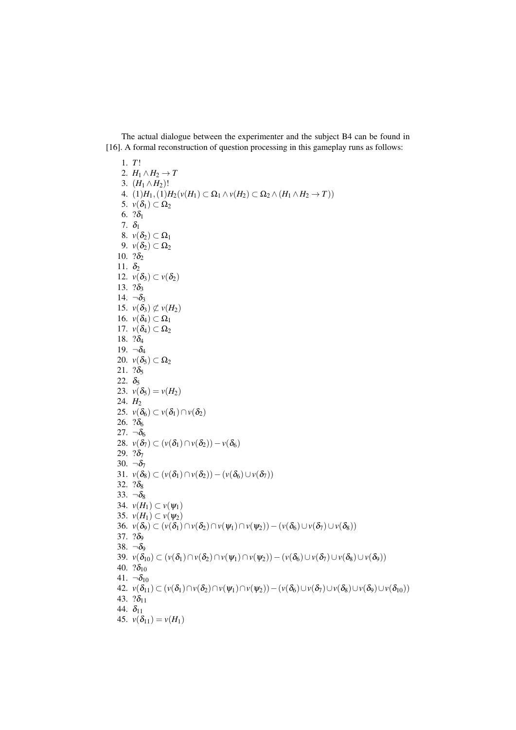The actual dialogue between the experimenter and the subject B4 can be found in [16]. A formal reconstruction of question processing in this gameplay runs as follows:

1. *T*! 2.  $H_1 \wedge H_2 \rightarrow T$ 3.  $(H_1 \wedge H_2)!$ 4. (1)*H*1,(1)*H*2(*v*(*H*1) ⊂ Ω<sup>1</sup> ∧*v*(*H*2) ⊂ Ω<sup>2</sup> ∧(*H*<sup>1</sup> ∧*H*<sup>2</sup> → *T*)) 5.  $v(\delta_1) \subset \Omega_2$ 6.  $? \delta_1$ 7.  $\delta_1$ 8.  $v(\delta_2) \subset \Omega_1$ 9.  $v(\delta_2) \subset \Omega_2$ 10.  $? \delta_2$ 11.  $\delta_2$ 12.  $v(\delta_3) \subset v(\delta_2)$ 13.  $? \delta_3$ 14.  $\neg \delta_3$ 15.  $v(\delta_3) \not\subset v(H_2)$ 16.  $v(\delta_4) \subset \Omega_1$ 17.  $v(\delta_4) \subset \Omega_2$ 18.  $? \delta_4$ 19.  $\neg \delta_4$ 20.  $v(\delta_5) \subset \Omega_2$ 21.  $? \delta_5$ 22.  $\delta_5$ 23.  $v(\delta_5) = v(H_2)$ 24. *H*<sup>2</sup> 25.  $v(\delta_6) \subset v(\delta_1) \cap v(\delta_2)$ 26.  $? \delta_6$ 27.  $\neg \delta_6$ 28.  $v(\delta_7) \subset (v(\delta_1) \cap v(\delta_2)) - v(\delta_6)$ 29.  $? \delta_7$ 30.  $\neg \delta_7$ 31.  $v(\delta_8) \subset (v(\delta_1) \cap v(\delta_2)) - (v(\delta_6) \cup v(\delta_7))$ 32.  $? \delta_8$ 33.  $\neg \delta_8$ 34. *v*(*H*<sub>1</sub>) ⊂ *v*( $\psi$ <sub>1</sub>) 35. *v*(*H*<sub>1</sub>) ⊂ *v*( $\psi$ <sub>2</sub>) 36.  $v(\delta_9) \subset (v(\delta_1) \cap v(\delta_2) \cap v(\psi_1) \cap v(\psi_2)) - (v(\delta_6) \cup v(\delta_7) \cup v(\delta_8))$ 37.  $? \delta_9$ 38.  $\neg \delta_9$ 39.  $v(\delta_{10}) \subset (v(\delta_1) \cap v(\delta_2) \cap v(\psi_1) \cap v(\psi_2)) - (v(\delta_6) \cup v(\delta_7) \cup v(\delta_8) \cup v(\delta_9))$ 40.  $? \delta_{10}$ 41.  $\neg \delta_{10}$ 42.  $v(\delta_{11}) \subset (v(\delta_1) \cap v(\delta_2) \cap v(\psi_1) \cap v(\psi_2)) - (v(\delta_6) \cup v(\delta_7) \cup v(\delta_8) \cup v(\delta_9) \cup v(\delta_{10}))$ 43.  $? \delta_{11}$ 44.  $\delta_{11}$ 45.  $v(\delta_{11}) = v(H_1)$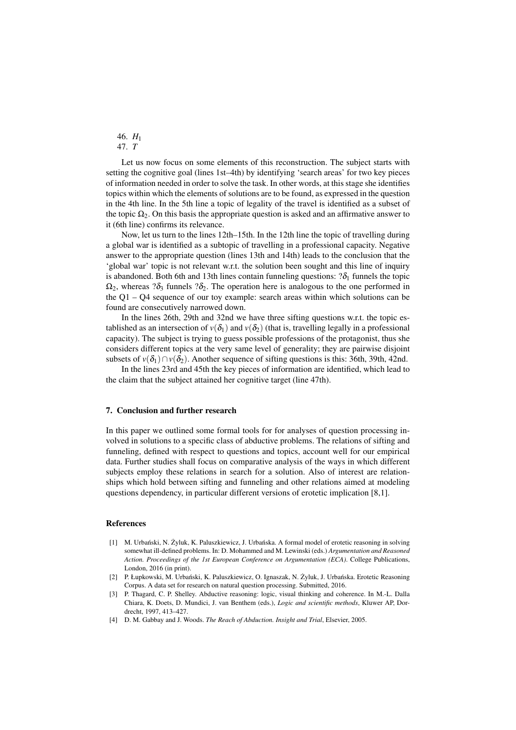46. *H*<sup>1</sup> 47. *T*

Let us now focus on some elements of this reconstruction. The subject starts with setting the cognitive goal (lines 1st–4th) by identifying 'search areas' for two key pieces of information needed in order to solve the task. In other words, at this stage she identifies topics within which the elements of solutions are to be found, as expressed in the question in the 4th line. In the 5th line a topic of legality of the travel is identified as a subset of the topic  $\Omega_2$ . On this basis the appropriate question is asked and an affirmative answer to it (6th line) confirms its relevance.

Now, let us turn to the lines 12th–15th. In the 12th line the topic of travelling during a global war is identified as a subtopic of travelling in a professional capacity. Negative answer to the appropriate question (lines 13th and 14th) leads to the conclusion that the 'global war' topic is not relevant w.r.t. the solution been sought and this line of inquiry is abandoned. Both 6th and 13th lines contain funneling questions:  $2\delta_1$  funnels the topic  $\Omega_2$ , whereas  $\partial_3$  funnels  $\partial_2$ . The operation here is analogous to the one performed in the  $Q1 - Q4$  sequence of our toy example: search areas within which solutions can be found are consecutively narrowed down.

In the lines 26th, 29th and 32nd we have three sifting questions w.r.t. the topic established as an intersection of  $v(\delta_1)$  and  $v(\delta_2)$  (that is, travelling legally in a professional capacity). The subject is trying to guess possible professions of the protagonist, thus she considers different topics at the very same level of generality; they are pairwise disjoint subsets of  $v(\delta_1) \cap v(\delta_2)$ . Another sequence of sifting questions is this: 36th, 39th, 42nd.

In the lines 23rd and 45th the key pieces of information are identified, which lead to the claim that the subject attained her cognitive target (line 47th).

#### 7. Conclusion and further research

In this paper we outlined some formal tools for for analyses of question processing involved in solutions to a specific class of abductive problems. The relations of sifting and funneling, defined with respect to questions and topics, account well for our empirical data. Further studies shall focus on comparative analysis of the ways in which different subjects employ these relations in search for a solution. Also of interest are relationships which hold between sifting and funneling and other relations aimed at modeling questions dependency, in particular different versions of erotetic implication [8,1].

#### References

- [1] M. Urbański, N. Żyluk, K. Paluszkiewicz, J. Urbańska. A formal model of erotetic reasoning in solving somewhat ill-defined problems. In: D. Mohammed and M. Lewinski (eds.) *Argumentation and Reasoned Action. Proceedings of the 1st European Conference on Argumentation (ECA)*. College Publications, London, 2016 (in print).
- [2] P. Łupkowski, M. Urbański, K. Paluszkiewicz, O. Ignaszak, N. Żyluk, J. Urbańska. Erotetic Reasoning Corpus. A data set for research on natural question processing. Submitted, 2016.
- [3] P. Thagard, C. P. Shelley. Abductive reasoning: logic, visual thinking and coherence. In M.-L. Dalla Chiara, K. Doets, D. Mundici, J. van Benthem (eds.), *Logic and scientific methods*, Kluwer AP, Dordrecht, 1997, 413–427.
- [4] D. M. Gabbay and J. Woods. *The Reach of Abduction. Insight and Trial*, Elsevier, 2005.